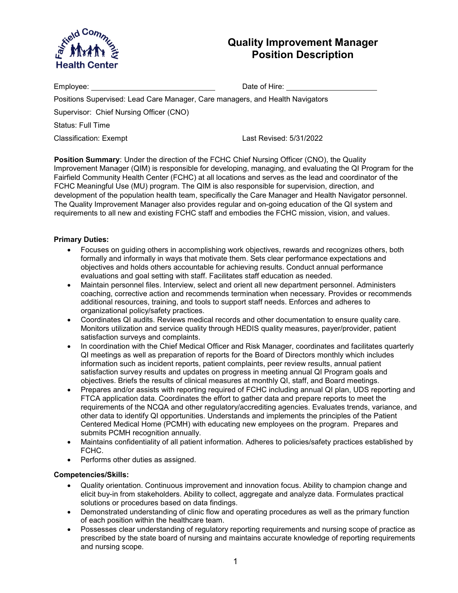

# **Quality Improvement Manager Position Description**

| Employee: with the control of the control of the control of the control of the control of the control of the c | Date of Hire:           |
|----------------------------------------------------------------------------------------------------------------|-------------------------|
| Positions Supervised: Lead Care Manager, Care managers, and Health Navigators                                  |                         |
| Supervisor: Chief Nursing Officer (CNO)                                                                        |                         |
| Status: Full Time                                                                                              |                         |
| Classification: Exempt                                                                                         | Last Revised: 5/31/2022 |
|                                                                                                                |                         |

**Position Summary:** Under the direction of the FCHC Chief Nursing Officer (CNO), the Quality Improvement Manager (QIM) is responsible for developing, managing, and evaluating the QI Program for the Fairfield Community Health Center (FCHC) at all locations and serves as the lead and coordinator of the FCHC Meaningful Use (MU) program. The QIM is also responsible for supervision, direction, and development of the population health team, specifically the Care Manager and Health Navigator personnel. The Quality Improvement Manager also provides regular and on-going education of the QI system and requirements to all new and existing FCHC staff and embodies the FCHC mission, vision, and values.

### **Primary Duties:**

- Focuses on guiding others in accomplishing work objectives, rewards and recognizes others, both formally and informally in ways that motivate them. Sets clear performance expectations and objectives and holds others accountable for achieving results. Conduct annual performance evaluations and goal setting with staff. Facilitates staff education as needed.
- Maintain personnel files. Interview, select and orient all new department personnel. Administers coaching, corrective action and recommends termination when necessary. Provides or recommends additional resources, training, and tools to support staff needs. Enforces and adheres to organizational policy/safety practices.
- Coordinates QI audits. Reviews medical records and other documentation to ensure quality care. Monitors utilization and service quality through HEDIS quality measures, payer/provider, patient satisfaction surveys and complaints.
- In coordination with the Chief Medical Officer and Risk Manager, coordinates and facilitates quarterly QI meetings as well as preparation of reports for the Board of Directors monthly which includes information such as incident reports, patient complaints, peer review results, annual patient satisfaction survey results and updates on progress in meeting annual QI Program goals and objectives. Briefs the results of clinical measures at monthly QI, staff, and Board meetings.
- Prepares and/or assists with reporting required of FCHC including annual QI plan, UDS reporting and FTCA application data. Coordinates the effort to gather data and prepare reports to meet the requirements of the NCQA and other regulatory/accrediting agencies. Evaluates trends, variance, and other data to identify QI opportunities. Understands and implements the principles of the Patient Centered Medical Home (PCMH) with educating new employees on the program. Prepares and submits PCMH recognition annually.
- Maintains confidentiality of all patient information. Adheres to policies/safety practices established by FCHC.
- Performs other duties as assigned.

### **Competencies/Skills:**

- Quality orientation. Continuous improvement and innovation focus. Ability to champion change and elicit buy-in from stakeholders. Ability to collect, aggregate and analyze data. Formulates practical solutions or procedures based on data findings.
- Demonstrated understanding of clinic flow and operating procedures as well as the primary function of each position within the healthcare team.
- Possesses clear understanding of regulatory reporting requirements and nursing scope of practice as prescribed by the state board of nursing and maintains accurate knowledge of reporting requirements and nursing scope.